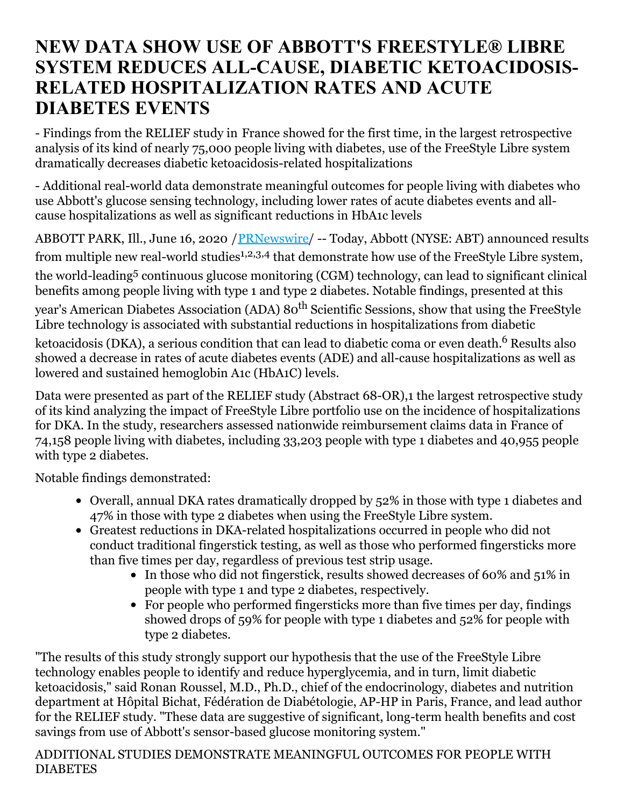## **NEW DATA SHOW USE OF ABBOTT'S FREESTYLE® LIBRE SYSTEM REDUCES ALL-CAUSE, DIABETIC KETOACIDOSIS-RELATED HOSPITALIZATION RATES AND ACUTE DIABETES EVENTS**

- Findings from the RELIEF study in France showed for the first time, in the largest retrospective analysis of its kind of nearly 75,000 people living with diabetes, use of the FreeStyle Libre system dramatically decreases diabetic ketoacidosis-related hospitalizations

- Additional real-world data demonstrate meaningful outcomes for people living with diabetes who use Abbott's glucose sensing technology, including lower rates of acute diabetes events and allcause hospitalizations as well as significant reductions in HbA1c levels

ABBOTT PARK, Ill., June 16, 2020 / [PRNewswire](http://www.prnewswire.com/)/ -- Today, Abbott (NYSE: ABT) announced results from multiple new real-world studies<sup>1,2,3,4</sup> that demonstrate how use of the FreeStyle Libre system,

the world-leading <sup>5</sup> continuous glucose monitoring (CGM) technology, can lead to significant clinical benefits among people living with type 1 and type 2 diabetes. Notable findings, presented at this

year's American Diabetes Association (ADA) 80<sup>th</sup> Scientific Sessions, show that using the FreeStyle Libre technology is associated with substantial reductions in hospitalizations from diabetic

ketoacidosis (DKA), a serious condition that can lead to diabetic coma or even death.<sup>6</sup> Results also showed a decrease in rates of acute diabetes events (ADE) and all-cause hospitalizations as well as lowered and sustained hemoglobin A1c (HbA1C) levels.

Data were presented as part of the RELIEF study (Abstract 68-OR),1 the largest retrospective study of its kind analyzing the impact of FreeStyle Libre portfolio use on the incidence of hospitalizations for DKA. In the study, researchers assessed nationwide reimbursement claims data in France of 74,158 people living with diabetes, including 33,203 people with type 1 diabetes and 40,955 people with type 2 diabetes.

Notable findings demonstrated:

- Overall, annual DKA rates dramatically dropped by 52% in those with type 1 diabetes and 47% in those with type 2 diabetes when using the FreeStyle Libre system.
- Greatest reductions in DKA-related hospitalizations occurred in people who did not conduct traditional fingerstick testing, as well as those who performed fingersticks more than five times per day, regardless of previous test strip usage.
	- In those who did not fingerstick, results showed decreases of 60% and 51% in people with type 1 and type 2 diabetes, respectively.
	- For people who performed fingersticks more than five times per day, findings showed drops of 59% for people with type 1 diabetes and 52% for people with type 2 diabetes.

"The results of this study strongly support our hypothesis that the use of the FreeStyle Libre technology enables people to identify and reduce hyperglycemia, and in turn, limit diabetic ketoacidosis," said Ronan Roussel, M.D., Ph.D., chief of the endocrinology, diabetes and nutrition department at Hôpital Bichat, Fédération de Diabétologie, AP-HP in Paris, France, and lead author for the RELIEF study. "These data are suggestive of significant, long-term health benefits and cost savings from use of Abbott's sensor-based glucose monitoring system."

ADDITIONAL STUDIES DEMONSTRATE MEANINGFUL OUTCOMES FOR PEOPLE WITH DIABETES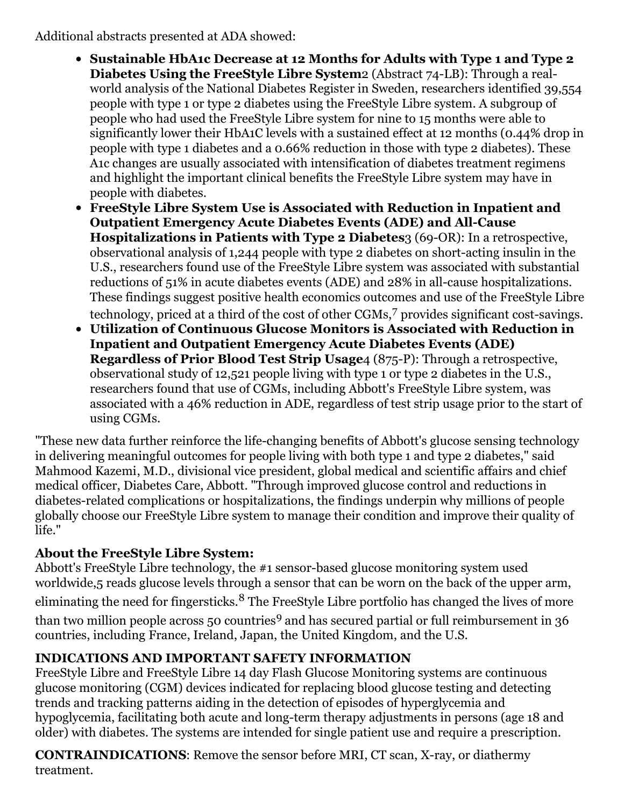Additional abstracts presented at ADA showed:

- **Sustainable HbA1c Decrease at 12 Months for Adults with Type 1 and Type 2 Diabetes Using the FreeStyle Libre System**2 (Abstract 74-LB): Through a realworld analysis of the National Diabetes Register in Sweden, researchers identified 39,554 people with type 1 or type 2 diabetes using the FreeStyle Libre system. A subgroup of people who had used the FreeStyle Libre system for nine to 15 months were able to significantly lower their HbA1C levels with a sustained effect at 12 months (0.44% drop in people with type 1 diabetes and a 0.66% reduction in those with type 2 diabetes). These A1c changes are usually associated with intensification of diabetes treatment regimens and highlight the important clinical benefits the FreeStyle Libre system may have in people with diabetes.
- **FreeStyle Libre System Use is Associated with Reduction in Inpatient and Outpatient Emergency Acute Diabetes Events (ADE) and All-Cause Hospitalizations in Patients with Type 2 Diabetes**3 (69-OR): In a retrospective, observational analysis of 1,244 people with type 2 diabetes on short-acting insulin in the U.S., researchers found use of the FreeStyle Libre system was associated with substantial reductions of 51% in acute diabetes events (ADE) and 28% in all-cause hospitalizations. These findings suggest positive health economics outcomes and use of the FreeStyle Libre technology, priced at a third of the cost of other CGMs, <sup>7</sup> provides significant cost-savings.
- **Utilization of Continuous Glucose Monitors is Associated with Reduction in Inpatient and Outpatient Emergency Acute Diabetes Events (ADE) Regardless of Prior Blood Test Strip Usage**4 (875-P): Through a retrospective, observational study of 12,521 people living with type 1 or type 2 diabetes in the U.S., researchers found that use of CGMs, including Abbott's FreeStyle Libre system, was associated with a 46% reduction in ADE, regardless of test strip usage prior to the start of using CGMs.

"These new data further reinforce the life-changing benefits of Abbott's glucose sensing technology in delivering meaningful outcomes for people living with both type 1 and type 2 diabetes," said Mahmood Kazemi, M.D., divisional vice president, global medical and scientific affairs and chief medical officer, Diabetes Care, Abbott. "Through improved glucose control and reductions in diabetes-related complications or hospitalizations, the findings underpin why millions of people globally choose our FreeStyle Libre system to manage their condition and improve their quality of life."

## **About the FreeStyle Libre System:**

Abbott's FreeStyle Libre technology, the #1 sensor-based glucose monitoring system used worldwide,5 reads glucose levels through a sensor that can be worn on the back of the upper arm, eliminating the need for fingersticks.<sup>8</sup> The FreeStyle Libre portfolio has changed the lives of more than two million people across 50 countries <sup>9</sup> and has secured partial or full reimbursement in 36 countries, including France, Ireland, Japan, the United Kingdom, and the U.S.

## **INDICATIONS AND IMPORTANT SAFETY INFORMATION**

FreeStyle Libre and FreeStyle Libre 14 day Flash Glucose Monitoring systems are continuous glucose monitoring (CGM) devices indicated for replacing blood glucose testing and detecting trends and tracking patterns aiding in the detection of episodes of hyperglycemia and hypoglycemia, facilitating both acute and long-term therapy adjustments in persons (age 18 and older) with diabetes. The systems are intended for single patient use and require a prescription.

**CONTRAINDICATIONS**: Remove the sensor before MRI, CT scan, X-ray, or diathermy treatment.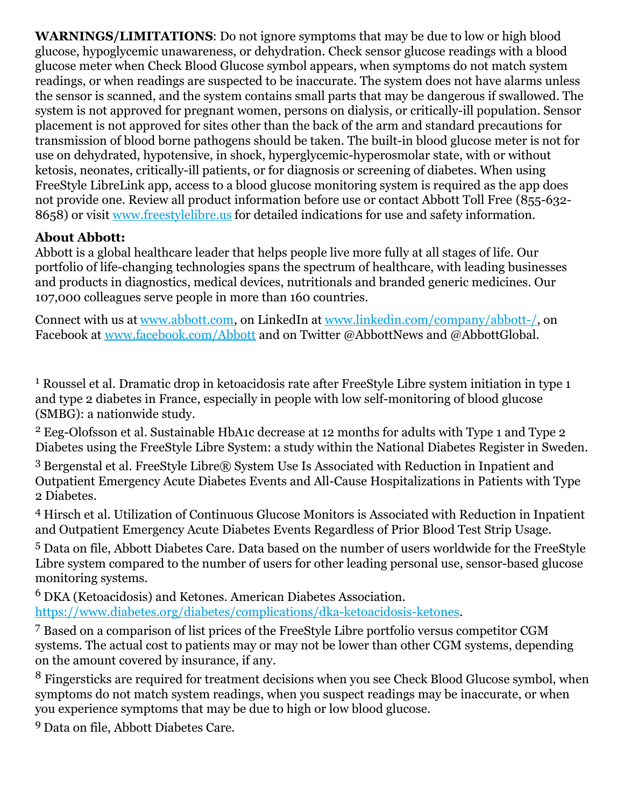**WARNINGS/LIMITATIONS**: Do not ignore symptoms that may be due to low or high blood glucose, hypoglycemic unawareness, or dehydration. Check sensor glucose readings with a blood glucose meter when Check Blood Glucose symbol appears, when symptoms do not match system readings, or when readings are suspected to be inaccurate. The system does not have alarms unless the sensor is scanned, and the system contains small parts that may be dangerous if swallowed. The system is not approved for pregnant women, persons on dialysis, or critically-ill population. Sensor placement is not approved for sites other than the back of the arm and standard precautions for transmission of blood borne pathogens should be taken. The built-in blood glucose meter is not for use on dehydrated, hypotensive, in shock, hyperglycemic-hyperosmolar state, with or without ketosis, neonates, critically-ill patients, or for diagnosis or screening of diabetes. When using FreeStyle LibreLink app, access to a blood glucose monitoring system is required as the app does not provide one. Review all product information before use or contact Abbott Toll Free (855-632- 8658) or visit [www.freestylelibre.us](https://c212.net/c/link/?t=0&l=en&o=2831837-1&h=3543484278&u=http%3A%2F%2Fwww.freestylelibre.us%2F&a=www.freestylelibre.us) for detailed indications for use and safety information.

## **About Abbott:**

Abbott is a global healthcare leader that helps people live more fully at all stages of life. Our portfolio of life-changing technologies spans the spectrum of healthcare, with leading businesses and products in diagnostics, medical devices, nutritionals and branded generic medicines. Our 107,000 colleagues serve people in more than 160 countries.

Connect with us at [www.abbott.com](https://c212.net/c/link/?t=0&l=en&o=2831837-1&h=613041732&u=https%3A%2F%2Fc212.net%2Fc%2Flink%2F%3Ft%3D0%26l%3Den%26o%3D2772355-1%26h%3D1009138289%26u%3Dhttp%253A%252F%252Fwww.abbott.com%252F%26a%3Dwww.abbott.com&a=www.abbott.com), on LinkedIn at [www.linkedin.com/company/abbott-/](https://c212.net/c/link/?t=0&l=en&o=2831837-1&h=1083020800&u=https%3A%2F%2Fc212.net%2Fc%2Flink%2F%3Ft%3D0%26l%3Den%26o%3D2772355-1%26h%3D126623637%26u%3Dhttp%253A%252F%252Fwww.linkedin.com%252Fcompany%252Fabbott-%252F%26a%3Dwww.linkedin.com%252Fcompany%252Fabbott-%252F&a=www.linkedin.com%2Fcompany%2Fabbott-%2F), on Facebook at [www.facebook.com/Abbott](https://c212.net/c/link/?t=0&l=en&o=2831837-1&h=2618369232&u=https%3A%2F%2Fc212.net%2Fc%2Flink%2F%3Ft%3D0%26l%3Den%26o%3D2772355-1%26h%3D549046598%26u%3Dhttp%253A%252F%252Fwww.facebook.com%252FAbbott%26a%3Dwww.facebook.com%252FAbbott&a=www.facebook.com%2FAbbott) and on Twitter @AbbottNews and @AbbottGlobal.

<sup>1</sup> Roussel et al. Dramatic drop in ketoacidosis rate after FreeStyle Libre system initiation in type 1 and type 2 diabetes in France, especially in people with low self-monitoring of blood glucose (SMBG): a nationwide study.

<sup>2</sup> Eeg-Olofsson et al. Sustainable HbA1c decrease at 12 months for adults with Type 1 and Type 2 Diabetes using the FreeStyle Libre System: a study within the National Diabetes Register in Sweden.

<sup>3</sup> Bergenstal et al. FreeStyle Libre® System Use Is Associated with Reduction in Inpatient and Outpatient Emergency Acute Diabetes Events and All-Cause Hospitalizations in Patients with Type 2 Diabetes.

<sup>4</sup> Hirsch et al. Utilization of Continuous Glucose Monitors is Associated with Reduction in Inpatient and Outpatient Emergency Acute Diabetes Events Regardless of Prior Blood Test Strip Usage.

<sup>5</sup> Data on file, Abbott Diabetes Care. Data based on the number of users worldwide for the FreeStyle Libre system compared to the number of users for other leading personal use, sensor-based glucose monitoring systems.

<sup>6</sup> DKA (Ketoacidosis) and Ketones. American Diabetes Association. [https://www.diabetes.org/diabetes/complications/dka-ketoacidosis-ketones](https://c212.net/c/link/?t=0&l=en&o=2831837-1&h=790790842&u=https%3A%2F%2Fwww.diabetes.org%2Fdiabetes%2Fcomplications%2Fdka-ketoacidosis-ketones&a=https%3A%2F%2Fwww.diabetes.org%2Fdiabetes%2Fcomplications%2Fdka-ketoacidosis-ketones).

<sup>7</sup> Based on a comparison of list prices of the FreeStyle Libre portfolio versus competitor CGM systems. The actual cost to patients may or may not be lower than other CGM systems, depending on the amount covered by insurance, if any.

<sup>8</sup> Fingersticks are required for treatment decisions when you see Check Blood Glucose symbol, when symptoms do not match system readings, when you suspect readings may be inaccurate, or when you experience symptoms that may be due to high or low blood glucose.

<sup>9</sup> Data on file, Abbott Diabetes Care.